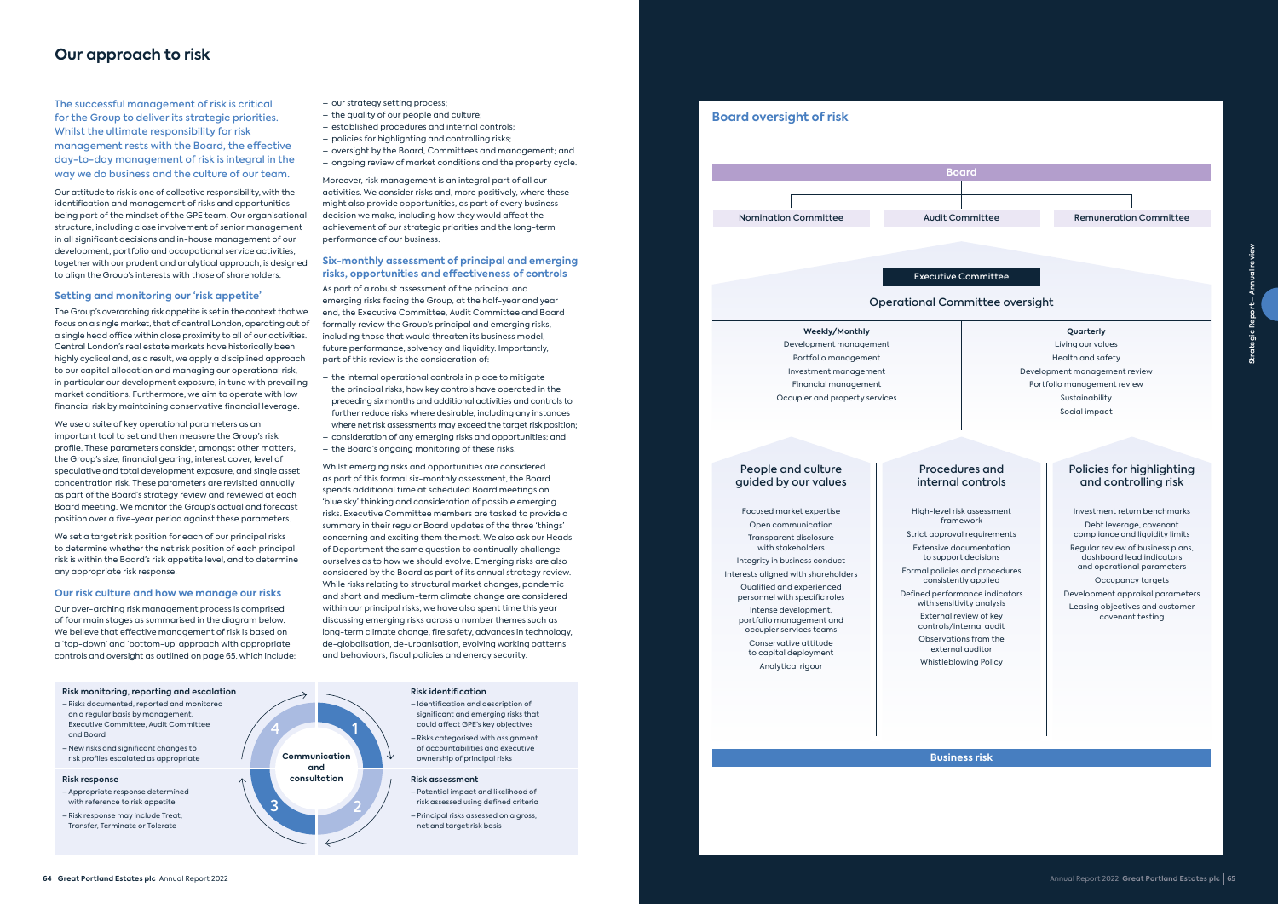### **Our approach to risk**

The successful management of risk is critical for the Group to deliver its strategic priorities. Whilst the ultimate responsibility for risk management rests with the Board, the effective day-to-day management of risk is integral in the way we do business and the culture of our team.

Our attitude to risk is one of collective responsibility, with the identification and management of risks and opportunities being part of the mindset of the GPE team. Our organisational structure, including close involvement of senior management in all significant decisions and in-house management of our development, portfolio and occupational service activities, together with our prudent and analytical approach, is designed to align the Group's interests with those of shareholders.

### **Setting and monitoring our 'risk appetite'**

We set a target risk position for each of our principal risks to determine whether the net risk position of each principal risk is within the Board's risk appetite level, and to determine any appropriate risk response.

The Group's overarching risk appetite is set in the context that we focus on a single market, that of central London, operating out of a single head office within close proximity to all of our activities. Central London's real estate markets have historically been highly cyclical and, as a result, we apply a disciplined approach to our capital allocation and managing our operational risk, in particular our development exposure, in tune with prevailing market conditions. Furthermore, we aim to operate with low financial risk by maintaining conservative financial leverage.

We use a suite of key operational parameters as an important tool to set and then measure the Group's risk profile. These parameters consider, amongst other matters, the Group's size, financial gearing, interest cover, level of speculative and total development exposure, and single asset concentration risk. These parameters are revisited annually as part of the Board's strategy review and reviewed at each Board meeting. We monitor the Group's actual and forecast position over a five-year period against these parameters.

### Policies for highlighting and controlling risk

### **Our risk culture and how we manage our risks**

Our over-arching risk management process is comprised of four main stages as summarised in the diagram below. We believe that effective management of risk is based on a 'top-down' and 'bottom-up' approach with appropriate controls and oversight as outlined on page 65, which include:



### **Business risk**



Remuneration Committee

### Operational Committee oversight

**Weekly/Monthly** Development management Portfolio management Investment management Financial management Occupier and property services

### **Quarterly**

Living our values Health and safety Development management review Portfolio management review Sustainability Social impact

### Executive Committee

High-level risk assessment framework Strict approval requirements Extensive documentation

to support decisions

Formal policies and procedures

consistently applied

Defined performance indicators with sensitivity analysis External review of key

controls/internal audit Observations from the external auditor

Whistleblowing Policy

Focused market expertise Open communication Transparent disclosure with stakeholders

Integrity in business conduct Interests aligned with shareholders

Qualified and experienced

personnel with specific roles Intense development, portfolio management and occupier services teams

Conservative attitude to capital deployment Analytical rigour

Investment return benchmarks Debt leverage, covenant compliance and liquidity limits Regular review of business plans, dashboard lead indicators and operational parameters Occupancy targets Development appraisal parameters

Leasing objectives and customer covenant testing

### People and culture guided by our values

### Procedures and internal controls

#### **Risk identification** – Identification and description of

- significant and emerging risks that could affect GPE's key objectives – Risks categorised with assignment of accountabilities and executive ownership of principal risks
- **Risk assessment**
- Potential impact and likelihood of risk assessed using defined criteria – Principal risks assessed on a gross, net and target risk basis

and Board



**Risk response**

Transfer, Terminate or Tolerate

- our strategy setting process;
- the quality of our people and culture;
- established procedures and internal controls;
- policies for highlighting and controlling risks;
- oversight by the Board, Committees and management; and
- ongoing review of market conditions and the property cycle.

Moreover, risk management is an integral part of all our activities. We consider risks and, more positively, where these might also provide opportunities, as part of every business decision we make, including how they would affect the achievement of our strategic priorities and the long-term performance of our business.

### **Six-monthly assessment of principal and emerging risks, opportunities and effectiveness of controls**

As part of a robust assessment of the principal and emerging risks facing the Group, at the half-year and year end, the Executive Committee, Audit Committee and Board formally review the Group's principal and emerging risks, including those that would threaten its business model, future performance, solvency and liquidity. Importantly, part of this review is the consideration of:

- the internal operational controls in place to mitigate the principal risks, how key controls have operated in the preceding six months and additional activities and controls to further reduce risks where desirable, including any instances where net risk assessments may exceed the target risk position;
- consideration of any emerging risks and opportunities; and
- the Board's ongoing monitoring of these risks.

Whilst emerging risks and opportunities are considered as part of this formal six-monthly assessment, the Board spends additional time at scheduled Board meetings on 'blue sky' thinking and consideration of possible emerging risks. Executive Committee members are tasked to provide a summary in their regular Board updates of the three 'things' concerning and exciting them the most. We also ask our Heads of Department the same question to continually challenge ourselves as to how we should evolve. Emerging risks are also considered by the Board as part of its annual strategy review. While risks relating to structural market changes, pandemic and short and medium-term climate change are considered within our principal risks, we have also spent time this year discussing emerging risks across a number themes such as long-term climate change, fire safety, advances in technology, de-globalisation, de-urbanisation, evolving working patterns and behaviours, fiscal policies and energy security.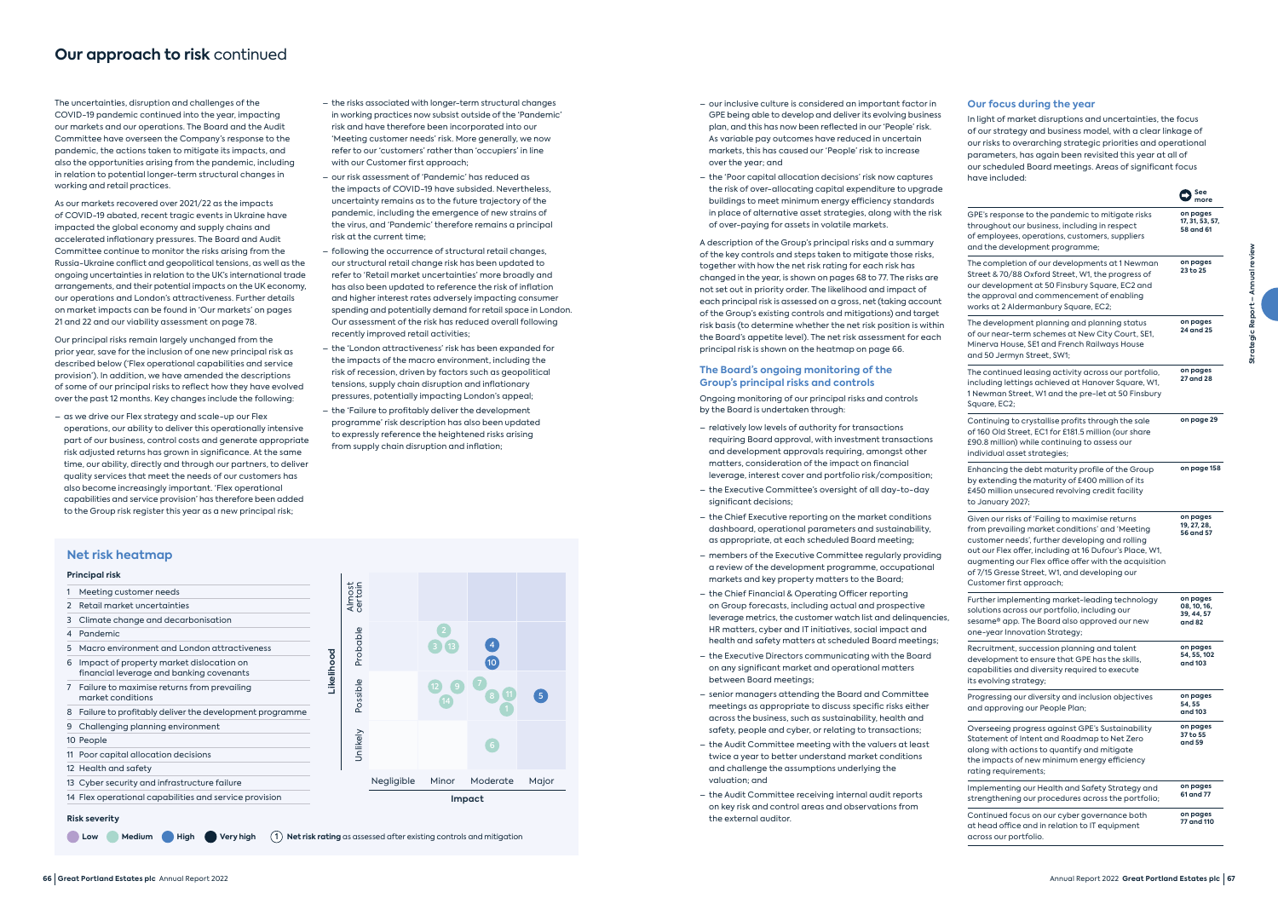The uncertainties, disruption and challenges of the COVID-19 pandemic continued into the year, impacting our markets and our operations. The Board and the Audit Committee have overseen the Company's response to the pandemic, the actions taken to mitigate its impacts, and also the opportunities arising from the pandemic, including in relation to potential longer-term structural changes in working and retail practices.

As our markets recovered over 2021/22 as the impacts of COVID-19 abated, recent tragic events in Ukraine have impacted the global economy and supply chains and accelerated inflationary pressures. The Board and Audit Committee continue to monitor the risks arising from the Russia-Ukraine conflict and geopolitical tensions, as well as the ongoing uncertainties in relation to the UK's international trade arrangements, and their potential impacts on the UK economy, our operations and London's attractiveness. Further details on market impacts can be found in 'Our markets' on pages 21 and 22 and our viability assessment on page 78.

Our principal risks remain largely unchanged from the prior year, save for the inclusion of one new principal risk as described below ('Flex operational capabilities and service provision'). In addition, we have amended the descriptions of some of our principal risks to reflect how they have evolved over the past 12 months. Key changes include the following:

– as we drive our Flex strategy and scale-up our Flex operations, our ability to deliver this operationally intensive part of our business, control costs and generate appropriate risk adjusted returns has grown in significance. At the same time, our ability, directly and through our partners, to deliver quality services that meet the needs of our customers has also become increasingly important. 'Flex operational capabilities and service provision' has therefore been added to the Group risk register this year as a new principal risk;

- the risks associated with longer-term structural changes in working practices now subsist outside of the 'Pandemic' risk and have therefore been incorporated into our 'Meeting customer needs' risk. More generally, we now refer to our 'customers' rather than 'occupiers' in line with our Customer first approach;
- our risk assessment of 'Pandemic' has reduced as the impacts of COVID-19 have subsided. Nevertheless, uncertainty remains as to the future trajectory of the pandemic, including the emergence of new strains of the virus, and 'Pandemic' therefore remains a principal risk at the current time;
- following the occurrence of structural retail changes, our structural retail change risk has been updated to refer to 'Retail market uncertainties' more broadly and has also been updated to reference the risk of inflation and higher interest rates adversely impacting consumer spending and potentially demand for retail space in London. Our assessment of the risk has reduced overall following recently improved retail activities;
- the 'London attractiveness' risk has been expanded for the impacts of the macro environment, including the risk of recession, driven by factors such as geopolitical tensions, supply chain disruption and inflationary pressures, potentially impacting London's appeal;
- the 'Failure to profitably deliver the development programme' risk description has also been updated to expressly reference the heightened risks arising from supply chain disruption and inflation;
- our inclusive culture is considered an important factor in GPE being able to develop and deliver its evolving business plan, and this has now been reflected in our 'People' risk. As variable pay outcomes have reduced in uncertain markets, this has caused our 'People' risk to increase over the year; and
- the 'Poor capital allocation decisions' risk now captures the risk of over-allocating capital expenditure to upgrade buildings to meet minimum energy efficiency standards in place of alternative asset strategies, along with the risk of over-paying for assets in volatile markets.

A description of the Group's principal risks and a summary of the key controls and steps taken to mitigate those risks, together with how the net risk rating for each risk has changed in the year, is shown on pages 68 to 77. The risks are not set out in priority order. The likelihood and impact of each principal risk is assessed on a gross, net (taking account of the Group's existing controls and mitigations) and target risk basis (to determine whether the net risk position is within the Board's appetite level). The net risk assessment for each principal risk is shown on the heatmap on page 66.

### **The Board's ongoing monitoring of the Group's principal risks and controls**

Ongoing monitoring of our principal risks and controls by the Board is undertaken through:

- relatively low levels of authority for transactions requiring Board approval, with investment transactions and development approvals requiring, amongst other matters, consideration of the impact on financial leverage, interest cover and portfolio risk/composition;
- the Executive Committee's oversight of all day-to-day significant decisions;
- the Chief Executive reporting on the market conditions dashboard, operational parameters and sustainability, as appropriate, at each scheduled Board meeting;
- members of the Executive Committee regularly providing a review of the development programme, occupational markets and key property matters to the Board;
- the Chief Financial & Operating Officer reporting on Group forecasts, including actual and prospective leverage metrics, the customer watch list and delinquencies, HR matters, cyber and IT initiatives, social impact and health and safety matters at scheduled Board meetings;
- the Executive Directors communicating with the Board on any significant market and operational matters between Board meetings;
- senior managers attending the Board and Committee meetings as appropriate to discuss specific risks either across the business, such as sustainability, health and safety, people and cyber, or relating to transactions;
- the Audit Committee meeting with the valuers at least twice a year to better understand market conditions and challenge the assumptions underlying the valuation; and
- the Audit Committee receiving internal audit reports on key risk and control areas and observations from the external auditor.

### **Our focus during the year**

In light of market disruptions and uncertainties, the focus of our strategy and business model, with a clear linkage of our risks to overarching strategic priorities and operational parameters, has again been revisited this year at all of our scheduled Board meetings. Areas of significant focus have included:

|                                                                                                                                                                                                                                                                                                                                                        | See<br>more                                     |
|--------------------------------------------------------------------------------------------------------------------------------------------------------------------------------------------------------------------------------------------------------------------------------------------------------------------------------------------------------|-------------------------------------------------|
| GPE's response to the pandemic to mitigate risks<br>throughout our business, including in respect<br>of employees, operations, customers, suppliers<br>and the development programme;                                                                                                                                                                  | on pages<br>17, 31, 53, 57,<br>58 and 61        |
| The completion of our developments at 1 Newman<br>Street & 70/88 Oxford Street, W1, the progress of<br>our development at 50 Finsbury Square, EC2 and<br>the approval and commencement of enabling<br>works at 2 Aldermanbury Square, EC2;                                                                                                             | on pages<br>23 to 25                            |
| The development planning and planning status<br>of our near-term schemes at New City Court, SE1,<br>Minerva House, SE1 and French Railways House<br>and 50 Jermyn Street, SW1;                                                                                                                                                                         | on pages<br>24 and 25                           |
| The continued leasing activity across our portfolio,<br>including lettings achieved at Hanover Square, W1,<br>1 Newman Street, W1 and the pre-let at 50 Finsbury<br>Square, EC2;                                                                                                                                                                       | on pages<br>27 and 28                           |
| Continuing to crystallise profits through the sale<br>of 160 Old Street, EC1 for £181.5 million (our share<br>£90.8 million) while continuing to assess our<br>individual asset strategies;                                                                                                                                                            | on page 29                                      |
| Enhancing the debt maturity profile of the Group<br>by extending the maturity of £400 million of its<br>£450 million unsecured revolving credit facility<br>to January 2027;                                                                                                                                                                           | on page 158                                     |
| Given our risks of 'Failing to maximise returns<br>from prevailing market conditions' and 'Meeting<br>customer needs', further developing and rolling<br>out our Flex offer, including at 16 Dufour's Place, W1,<br>augmenting our Flex office offer with the acquisition<br>of 7/15 Gresse Street, W1, and developing our<br>Customer first approach; | on pages<br>19, 27, 28,<br>56 and 57            |
| Further implementing market-leading technology<br>solutions across our portfolio, including our<br>sesame® app. The Board also approved our new<br>one-year Innovation Strategy;                                                                                                                                                                       | on pages<br>08, 10, 16,<br>39, 44, 57<br>and 82 |
| Recruitment, succession planning and talent<br>development to ensure that GPE has the skills,<br>capabilities and diversity required to execute<br>its evolving strategy;                                                                                                                                                                              | on pages<br>54, 55, 102<br>and 103              |
| Progressing our diversity and inclusion objectives<br>and approving our People Plan;                                                                                                                                                                                                                                                                   | on pages<br>54, 55<br>and 103                   |
| Overseeing progress against GPE's Sustainability<br>Statement of Intent and Roadmap to Net Zero<br>along with actions to quantify and mitigate<br>the impacts of new minimum energy efficiency<br>rating requirements;                                                                                                                                 | on pages<br>37 to 55<br>and 59                  |
| Implementing our Health and Safety Strategy and<br>strengthening our procedures across the portfolio;                                                                                                                                                                                                                                                  | on pages<br>61 and 77                           |
| Continued focus on our cyber governance both<br>at head office and in relation to IT equipment<br>across our portfolio.                                                                                                                                                                                                                                | on pages<br>77 and 110                          |

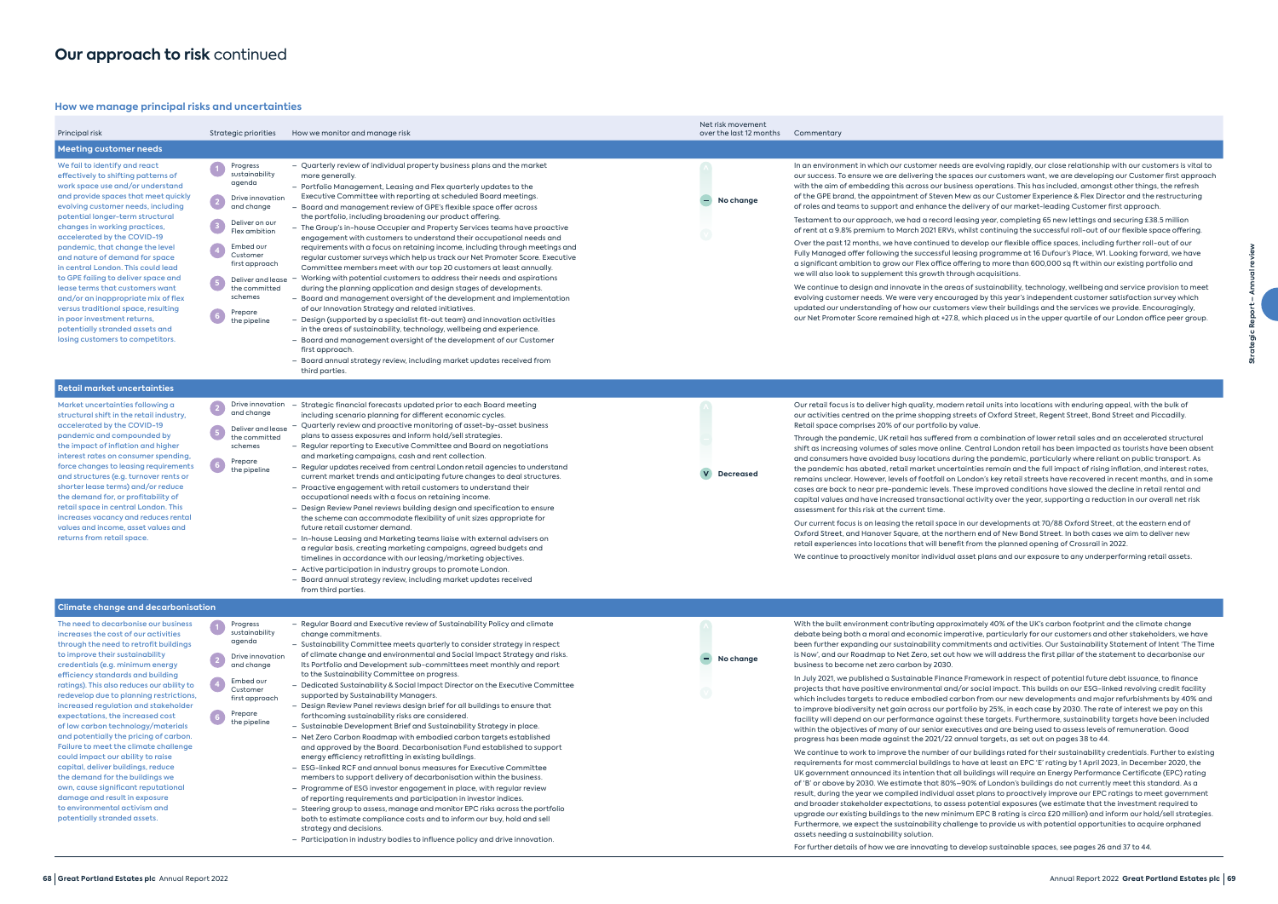### **How we manage principal risks and uncertainties**

| Principal risk                                                                                                                                                                                                                                                                                                                                                                                                                                                                                                                                                                                                                                                                                                                                                                          | Strategic priorities                                                                                                                                                                                                                            | How we monitor and manage risk                                                                                                                                                                                                                                                                                                                                                                                                                                                                                                                                                                                                                                                                                                                                                                                                                                                                                                                                                                                                                                                                                                                                                                                                                                                                                                                                                                                                                                                                     | Net risk movement<br>over the last 12 months | Commentary                                                                                                                                                                                                                                                                                                                                                                                                                                                                                                                                                                                                                                                                                                                                                                                                                                                                                                                                                                                                                                                                                                                                                                                |
|-----------------------------------------------------------------------------------------------------------------------------------------------------------------------------------------------------------------------------------------------------------------------------------------------------------------------------------------------------------------------------------------------------------------------------------------------------------------------------------------------------------------------------------------------------------------------------------------------------------------------------------------------------------------------------------------------------------------------------------------------------------------------------------------|-------------------------------------------------------------------------------------------------------------------------------------------------------------------------------------------------------------------------------------------------|----------------------------------------------------------------------------------------------------------------------------------------------------------------------------------------------------------------------------------------------------------------------------------------------------------------------------------------------------------------------------------------------------------------------------------------------------------------------------------------------------------------------------------------------------------------------------------------------------------------------------------------------------------------------------------------------------------------------------------------------------------------------------------------------------------------------------------------------------------------------------------------------------------------------------------------------------------------------------------------------------------------------------------------------------------------------------------------------------------------------------------------------------------------------------------------------------------------------------------------------------------------------------------------------------------------------------------------------------------------------------------------------------------------------------------------------------------------------------------------------------|----------------------------------------------|-------------------------------------------------------------------------------------------------------------------------------------------------------------------------------------------------------------------------------------------------------------------------------------------------------------------------------------------------------------------------------------------------------------------------------------------------------------------------------------------------------------------------------------------------------------------------------------------------------------------------------------------------------------------------------------------------------------------------------------------------------------------------------------------------------------------------------------------------------------------------------------------------------------------------------------------------------------------------------------------------------------------------------------------------------------------------------------------------------------------------------------------------------------------------------------------|
| <b>Meeting customer needs</b>                                                                                                                                                                                                                                                                                                                                                                                                                                                                                                                                                                                                                                                                                                                                                           |                                                                                                                                                                                                                                                 |                                                                                                                                                                                                                                                                                                                                                                                                                                                                                                                                                                                                                                                                                                                                                                                                                                                                                                                                                                                                                                                                                                                                                                                                                                                                                                                                                                                                                                                                                                    |                                              |                                                                                                                                                                                                                                                                                                                                                                                                                                                                                                                                                                                                                                                                                                                                                                                                                                                                                                                                                                                                                                                                                                                                                                                           |
| We fail to identify and react<br>effectively to shifting patterns of<br>work space use and/or understand<br>and provide spaces that meet quickly<br>evolving customer needs, including<br>potential longer-term structural<br>changes in working practices,<br>accelerated by the COVID-19<br>pandemic, that change the level<br>and nature of demand for space<br>in central London. This could lead<br>to GPE failing to deliver space and<br>lease terms that customers want<br>and/or an inappropriate mix of flex<br>versus traditional space, resulting<br>in poor investment returns,<br>potentially stranded assets and<br>losing customers to competitors.                                                                                                                     | Progress<br>sustainability<br>agenda<br>Drive innovation<br>$\boxed{2}$<br>and change<br>Deliver on our<br>Flex ambition<br>Embed our<br>Customer<br>first approach<br>Deliver and lease<br>the committed<br>schemes<br>Prepare<br>the pipeline | - Quarterly review of individual property business plans and the market<br>more generally.<br>- Portfolio Management, Leasing and Flex quarterly updates to the<br>Executive Committee with reporting at scheduled Board meetings.<br>- Board and management review of GPE's flexible space offer across<br>the portfolio, including broadening our product offering.<br>- The Group's in-house Occupier and Property Services teams have proactive<br>engagement with customers to understand their occupational needs and<br>requirements with a focus on retaining income, including through meetings and<br>regular customer surveys which help us track our Net Promoter Score. Executive<br>Committee members meet with our top 20 customers at least annually.<br>- Working with potential customers to address their needs and aspirations<br>during the planning application and design stages of developments.<br>- Board and management oversight of the development and implementation<br>of our Innovation Strategy and related initiatives.<br>- Design (supported by a specialist fit-out team) and innovation activities<br>in the areas of sustainability, technology, wellbeing and experience.<br>- Board and management oversight of the development of our Customer<br>first approach.<br>- Board annual strategy review, including market updates received from<br>third parties.                                                                                            | No change                                    | In an environment in which our customer needs are et<br>our success. To ensure we are delivering the spaces of<br>with the aim of embedding this across our business op<br>of the GPE brand, the appointment of Steven Mew as<br>of roles and teams to support and enhance the delive<br>Testament to our approach, we had a record leasing<br>of rent at a 9.8% premium to March 2021 ERVs, whilst<br>Over the past 12 months, we have continued to devel-<br>Fully Managed offer following the successful leasing<br>a significant ambition to grow our Flex office offering<br>we will also look to supplement this growth through a<br>We continue to design and innovate in the areas of su<br>evolving customer needs. We were very encouraged<br>updated our understanding of how our customers vie<br>our Net Promoter Score remained high at +27.8, which                                                                                                                                                                                                                                                                                                                        |
| <b>Retail market uncertainties</b>                                                                                                                                                                                                                                                                                                                                                                                                                                                                                                                                                                                                                                                                                                                                                      |                                                                                                                                                                                                                                                 |                                                                                                                                                                                                                                                                                                                                                                                                                                                                                                                                                                                                                                                                                                                                                                                                                                                                                                                                                                                                                                                                                                                                                                                                                                                                                                                                                                                                                                                                                                    |                                              |                                                                                                                                                                                                                                                                                                                                                                                                                                                                                                                                                                                                                                                                                                                                                                                                                                                                                                                                                                                                                                                                                                                                                                                           |
| Market uncertainties following a<br>structural shift in the retail industry,<br>accelerated by the COVID-19<br>pandemic and compounded by<br>the impact of inflation and higher<br>interest rates on consumer spending,<br>force changes to leasing requirements<br>and structures (e.g. turnover rents or<br>shorter lease terms) and/or reduce<br>the demand for, or profitability of<br>retail space in central London. This<br>increases vacancy and reduces rental<br>values and income, asset values and<br>returns from retail space.                                                                                                                                                                                                                                            | $\overline{\mathbf{2}}$<br>Drive innovation<br>and change<br>Deliver and lease<br>the committed<br>schemes<br>Prepare<br>the pipeline                                                                                                           | Strategic financial forecasts updated prior to each Board meeting<br>including scenario planning for different economic cycles.<br>- Quarterly review and proactive monitoring of asset-by-asset business<br>plans to assess exposures and inform hold/sell strategies.<br>- Regular reporting to Executive Committee and Board on negotiations<br>and marketing campaigns, cash and rent collection.<br>- Regular updates received from central London retail agencies to understand<br>current market trends and anticipating future changes to deal structures.<br>- Proactive engagement with retail customers to understand their<br>occupational needs with a focus on retaining income.<br>- Design Review Panel reviews building design and specification to ensure<br>the scheme can accommodate flexibility of unit sizes appropriate for<br>future retail customer demand.<br>- In-house Leasing and Marketing teams liaise with external advisers on<br>a regular basis, creating marketing campaigns, agreed budgets and<br>timelines in accordance with our leasing/marketing objectives.<br>- Active participation in industry groups to promote London.<br>- Board annual strategy review, including market updates received<br>from third parties.                                                                                                                                                                                                                                | <b>Decreased</b>                             | Our retail focus is to deliver high quality, modern reta<br>our activities centred on the prime shopping streets of<br>Retail space comprises 20% of our portfolio by value.<br>Through the pandemic, UK retail has suffered from a<br>shift as increasing volumes of sales move online. Cent<br>and consumers have avoided busy locations during tl<br>the pandemic has abated, retail market uncertaintie<br>remains unclear. However, levels of footfall on Londo<br>cases are back to near pre-pandemic levels. These in<br>capital values and have increased transactional acti<br>assessment for this risk at the current time.<br>Our current focus is on leasing the retail space in our<br>Oxford Street, and Hanover Square, at the northern e<br>retail experiences into locations that will benefit from<br>We continue to proactively monitor individual asset portal                                                                                                                                                                                                                                                                                                        |
| <b>Climate change and decarbonisation</b>                                                                                                                                                                                                                                                                                                                                                                                                                                                                                                                                                                                                                                                                                                                                               |                                                                                                                                                                                                                                                 |                                                                                                                                                                                                                                                                                                                                                                                                                                                                                                                                                                                                                                                                                                                                                                                                                                                                                                                                                                                                                                                                                                                                                                                                                                                                                                                                                                                                                                                                                                    |                                              |                                                                                                                                                                                                                                                                                                                                                                                                                                                                                                                                                                                                                                                                                                                                                                                                                                                                                                                                                                                                                                                                                                                                                                                           |
| The need to decarbonise our business<br>increases the cost of our activities<br>through the need to retrofit buildings<br>to improve their sustainability<br>credentials (e.g. minimum energy<br>efficiency standards and building<br>ratings). This also reduces our ability to<br>redevelop due to planning restrictions,<br>increased regulation and stakeholder<br>expectations, the increased cost<br>of low carbon technology/materials<br>and potentially the pricing of carbon.<br>Failure to meet the climate challenge<br>could impact our ability to raise<br>capital, deliver buildings, reduce<br>the demand for the buildings we<br>own, cause significant reputational<br>damage and result in exposure<br>to environmental activism and<br>potentially stranded assets. | Progress<br>sustainability<br>agenda<br>Drive innovation<br>and change<br>Embed our<br>Customer<br>first approach<br>Prepare<br>the pipeline                                                                                                    | - Regular Board and Executive review of Sustainability Policy and climate<br>change commitments.<br>- Sustainability Committee meets quarterly to consider strategy in respect<br>of climate change and environmental and Social Impact Strategy and risks.<br>Its Portfolio and Development sub-committees meet monthly and report<br>to the Sustainability Committee on progress.<br>- Dedicated Sustainability & Social Impact Director on the Executive Committee<br>supported by Sustainability Managers.<br>- Design Review Panel reviews design brief for all buildings to ensure that<br>forthcoming sustainability risks are considered.<br>- Sustainable Development Brief and Sustainability Strategy in place.<br>- Net Zero Carbon Roadmap with embodied carbon targets established<br>and approved by the Board. Decarbonisation Fund established to support<br>energy efficiency retrofitting in existing buildings.<br>- ESG-linked RCF and annual bonus measures for Executive Committee<br>members to support delivery of decarbonisation within the business.<br>- Programme of ESG investor engagement in place, with regular review<br>of reporting requirements and participation in investor indices.<br>- Steering group to assess, manage and monitor EPC risks across the portfolio<br>both to estimate compliance costs and to inform our buy, hold and sell<br>strategy and decisions.<br>- Participation in industry bodies to influence policy and drive innovation. | No change                                    | With the built environment contributing approximate<br>debate being both a moral and economic imperative<br>been further expanding our sustainability commitme<br>is Now', and our Roadmap to Net Zero, set out how we<br>business to become net zero carbon by 2030.<br>In July 2021, we published a Sustainable Finance Fram<br>projects that have positive environmental and/or soo<br>which includes targets to reduce embodied carbon fi<br>to improve biodiversity net gain across our portfolio l<br>facility will depend on our performance against these<br>within the objectives of many of our senior executives<br>progress has been made against the 2021/22 annual<br>We continue to work to improve the number of our bu<br>requirements for most commercial buildings to have<br>UK government announced its intention that all build<br>of 'B' or above by 2030. We estimate that 80%-90% of<br>result, during the year we compiled individual asset p<br>and broader stakeholder expectations, to assess pot<br>upgrade our existing buildings to the new minimum E<br>Furthermore, we expect the sustainability challenge<br>assets needing a sustainability solution. |

For further details of how we are innovating to develop sustainable spaces, see pages 26 and 37 to 44.

are evolving rapidly, our close relationship with our customers is vital to ces our customers want, we are developing our Customer first approach ess operations. This has included, amongst other things, the refresh ew as our Customer Experience & Flex Director and the restructuring delivery of our market-leading Customer first approach.

ising year, completing 65 new lettings and securing £38.5 million hilst continuing the successful roll-out of our flexible space offering.

evelop our flexible office spaces, including further roll-out of our sing programme at 16 Dufour's Place, W1. Looking forward, we have ering to more than 600,000 sq ft within our existing portfolio and vgh acquisitions.

of sustainability, technology, wellbeing and service provision to meet ged by this year's independent customer satisfaction survey which rs view their buildings and the services we provide. Encouragingly, which placed us in the upper quartile of our London office peer group.

retail units into locations with enduring appeal, with the bulk of eets of Oxford Street, Regent Street, Bond Street and Piccadilly.

m a combination of lower retail sales and an accelerated structural Central London retail has been impacted as tourists have been absent ing the pandemic, particularly where reliant on public transport. As inties remain and the full impact of rising inflation, and interest rates, ndon's key retail streets have recovered in recent months, and in some se improved conditions have slowed the decline in retail rental and activity over the year, supporting a reduction in our overall net risk

our developments at 70/88 Oxford Street, at the eastern end of ern end of New Bond Street. In both cases we aim to deliver new from the planned opening of Crossrail in 2022.

set plans and our exposure to any underperforming retail assets.

mately 40% of the UK's carbon footprint and the climate change ative, particularly for our customers and other stakeholders, we have itments and activities. Our Sustainability Statement of Intent 'The Time is Now we will address the first pillar of the statement to decarbonise our

Framework in respect of potential future debt issuance, to finance pr social impact. This builds on our ESG-linked revolving credit facility oon from our new developments and major refurbishments by 40% and iolio by 25%, in each case by 2030. The rate of interest we pay on this these targets. Furthermore, sustainability targets have been included tives and are being used to assess levels of remuneration. Good nual targets, as set out on pages 38 to 44.

ur buildings rated for their sustainability credentials. Further to existing rave at least an EPC 'E' rating by 1 April 2023, in December 2020, the  $\overline{\phantom{a}}$ buildings will require an Energy Performance Certificate (EPC) rating  $90\%$  of London's buildings do not currently meet this standard. As a  $\mathop{\mathsf{set}}$  plans to proactively improve our EPC ratings to meet government s potential exposures (we estimate that the investment required to um EPC B rating is circa £20 million) and inform our hold/sell strategies. nge to provide us with potential opportunities to acquire orphaned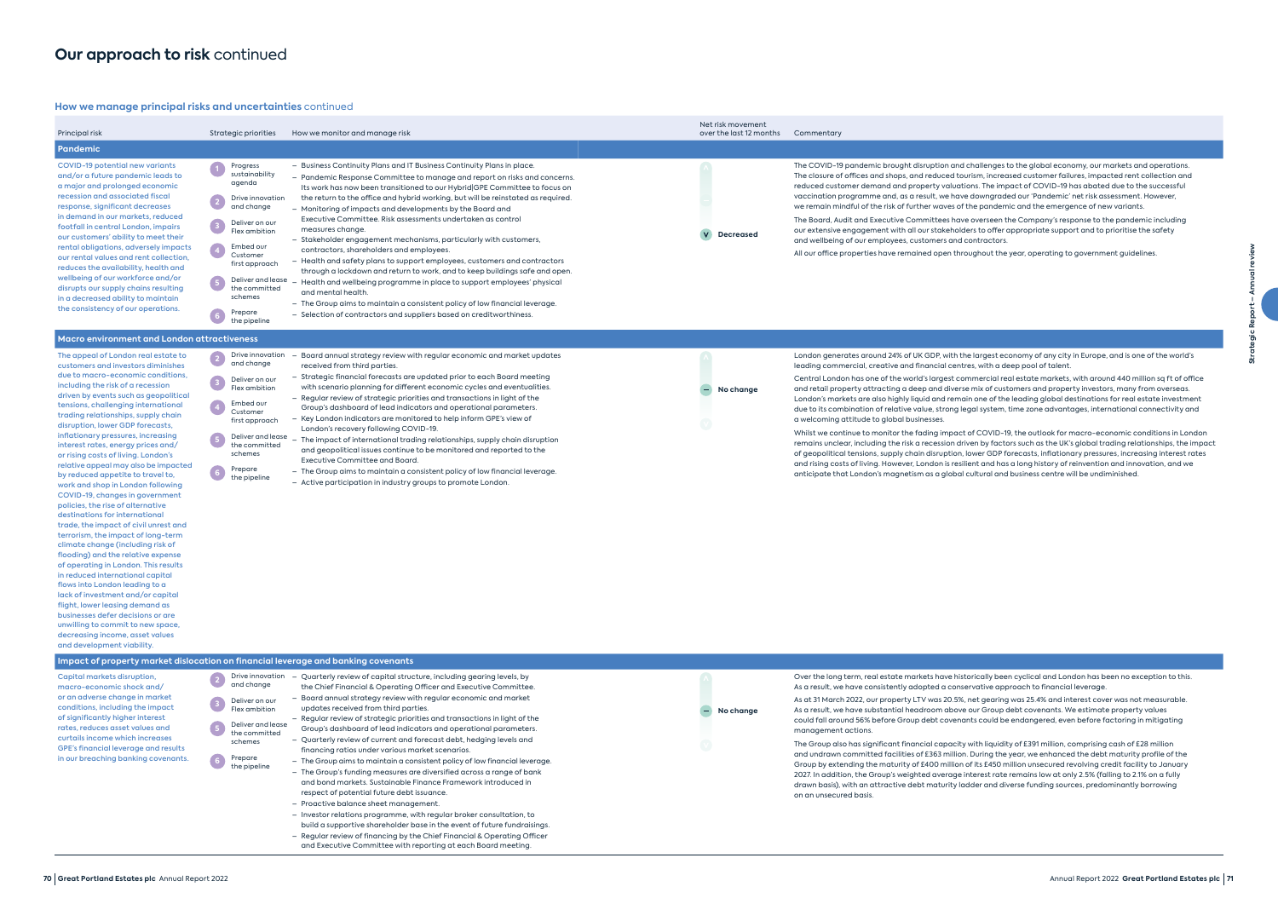### **How we manage principal risks and uncertainties** continued

| Principal risk                                                                                                                                                                                                                                                                                                                                                                                                                                                                                                                                                                                                                                                                                                                                                                                                                                                                                                                                                                                                                                                                                                                                           | Strategic priorities                                                                                                                                                                                                                                                                   | How we monitor and manage risk                                                                                                                                                                                                                                                                                                                                                                                                                                                                                                                                                                                                                                                                                                                                                                                                                                                                                                                                                                             | Net risk movement<br>over the last 12 months | Commentary                                                                                                                                                                                                                                                                                                                                                                                                                                                                                                                                                                                                                                                       |
|----------------------------------------------------------------------------------------------------------------------------------------------------------------------------------------------------------------------------------------------------------------------------------------------------------------------------------------------------------------------------------------------------------------------------------------------------------------------------------------------------------------------------------------------------------------------------------------------------------------------------------------------------------------------------------------------------------------------------------------------------------------------------------------------------------------------------------------------------------------------------------------------------------------------------------------------------------------------------------------------------------------------------------------------------------------------------------------------------------------------------------------------------------|----------------------------------------------------------------------------------------------------------------------------------------------------------------------------------------------------------------------------------------------------------------------------------------|------------------------------------------------------------------------------------------------------------------------------------------------------------------------------------------------------------------------------------------------------------------------------------------------------------------------------------------------------------------------------------------------------------------------------------------------------------------------------------------------------------------------------------------------------------------------------------------------------------------------------------------------------------------------------------------------------------------------------------------------------------------------------------------------------------------------------------------------------------------------------------------------------------------------------------------------------------------------------------------------------------|----------------------------------------------|------------------------------------------------------------------------------------------------------------------------------------------------------------------------------------------------------------------------------------------------------------------------------------------------------------------------------------------------------------------------------------------------------------------------------------------------------------------------------------------------------------------------------------------------------------------------------------------------------------------------------------------------------------------|
| <b>Pandemic</b>                                                                                                                                                                                                                                                                                                                                                                                                                                                                                                                                                                                                                                                                                                                                                                                                                                                                                                                                                                                                                                                                                                                                          |                                                                                                                                                                                                                                                                                        |                                                                                                                                                                                                                                                                                                                                                                                                                                                                                                                                                                                                                                                                                                                                                                                                                                                                                                                                                                                                            |                                              |                                                                                                                                                                                                                                                                                                                                                                                                                                                                                                                                                                                                                                                                  |
| <b>COVID-19 potential new variants</b><br>and/or a future pandemic leads to<br>a major and prolonged economic<br>recession and associated fiscal<br>response, significant decreases<br>in demand in our markets, reduced<br>footfall in central London, impairs<br>our customers' ability to meet their<br>rental obligations, adversely impacts<br>our rental values and rent collection,<br>reduces the availability, health and<br>wellbeing of our workforce and/or<br>disrupts our supply chains resulting<br>in a decreased ability to maintain<br>the consistency of our operations.                                                                                                                                                                                                                                                                                                                                                                                                                                                                                                                                                              | Progress<br>sustainability<br>agenda<br>Drive innovation<br>$\frac{1}{2}$<br>and change<br>Deliver on our<br>$\left(3\right)$<br>Flex ambition<br>Embed our<br>Customer<br>first approach<br>Deliver and lease<br>$\frac{5}{2}$<br>the committed<br>schemes<br>Prepare<br>the pipeline | - Business Continuity Plans and IT Business Continuity Plans in place.<br>- Pandemic Response Committee to manage and report on risks and concerns.<br>Its work has now been transitioned to our Hybrid GPE Committee to focus on<br>the return to the office and hybrid working, but will be reinstated as required.<br>- Monitoring of impacts and developments by the Board and<br>Executive Committee. Risk assessments undertaken as control<br>measures change.<br>- Stakeholder engagement mechanisms, particularly with customers,<br>contractors, shareholders and employees.<br>- Health and safety plans to support employees, customers and contractors<br>through a lockdown and return to work, and to keep buildings safe and open.<br>- Health and wellbeing programme in place to support employees' physical<br>and mental health.<br>- The Group aims to maintain a consistent policy of low financial leverage.<br>- Selection of contractors and suppliers based on creditworthiness. | <b>Decreased</b>                             | The COVID-19 pandemic brought disruption and c<br>The closure of offices and shops, and reduced tour<br>reduced customer demand and property valuatio<br>vaccination programme and, as a result, we have<br>we remain mindful of the risk of further waves of th<br>The Board, Audit and Executive Committees have<br>our extensive engagement with all our stakeholde<br>and wellbeing of our employees, customers and co<br>All our office properties have remained open throu                                                                                                                                                                                 |
| Macro environment and London attractiveness                                                                                                                                                                                                                                                                                                                                                                                                                                                                                                                                                                                                                                                                                                                                                                                                                                                                                                                                                                                                                                                                                                              |                                                                                                                                                                                                                                                                                        |                                                                                                                                                                                                                                                                                                                                                                                                                                                                                                                                                                                                                                                                                                                                                                                                                                                                                                                                                                                                            |                                              |                                                                                                                                                                                                                                                                                                                                                                                                                                                                                                                                                                                                                                                                  |
| The appeal of London real estate to<br>customers and investors diminishes<br>due to macro-economic conditions,<br>including the risk of a recession<br>driven by events such as geopolitical<br>tensions, challenging international<br>trading relationships, supply chain<br>disruption, lower GDP forecasts,<br>inflationary pressures, increasing<br>interest rates, energy prices and/<br>or rising costs of living. London's<br>relative appeal may also be impacted<br>by reduced appetite to travel to,<br>work and shop in London following<br>COVID-19, changes in government<br>policies, the rise of alternative<br>destinations for international<br>trade, the impact of civil unrest and<br>terrorism, the impact of long-term<br>climate change (including risk of<br>flooding) and the relative expense<br>of operating in London. This results<br>in reduced international capital<br>flows into London leading to a<br>lack of investment and/or capital<br>flight, lower leasing demand as<br>businesses defer decisions or are<br>unwilling to commit to new space,<br>decreasing income, asset values<br>and development viability. | Drive innovation<br>and change<br>$\overline{\mathbf{3}}$<br>Deliver on our<br>Flex ambition<br>Embed our<br>Customer<br>first approach<br>Deliver and lease<br>the committed<br>schemes<br>Prepare<br>the pipeline                                                                    | Board annual strategy review with regular economic and market updates<br>received from third parties.<br>- Strategic financial forecasts are updated prior to each Board meeting<br>with scenario planning for different economic cycles and eventualities.<br>- Regular review of strategic priorities and transactions in light of the<br>Group's dashboard of lead indicators and operational parameters.<br>- Key London indicators are monitored to help inform GPE's view of<br>London's recovery following COVID-19.<br>- The impact of international trading relationships, supply chain disruption<br>and geopolitical issues continue to be monitored and reported to the<br><b>Executive Committee and Board</b><br>- The Group aims to maintain a consistent policy of low financial leverage.<br>- Active participation in industry groups to promote London.                                                                                                                                 | No change                                    | London generates around 24% of UK GDP, with the<br>leading commercial, creative and financial centre<br>Central London has one of the world's largest com<br>and retail property attracting a deep and diverse<br>London's markets are also highly liquid and remair<br>due to its combination of relative value, strong leg<br>a welcoming attitude to global businesses.<br>Whilst we continue to monitor the fading impact of<br>remains unclear, including the risk a recession drive<br>of geopolitical tensions, supply chain disruption, Ic<br>and rising costs of living. However, London is resilie<br>anticipate that London's magnetism as a global c |
| Impact of property market dislocation on financial leverage and banking covenants                                                                                                                                                                                                                                                                                                                                                                                                                                                                                                                                                                                                                                                                                                                                                                                                                                                                                                                                                                                                                                                                        |                                                                                                                                                                                                                                                                                        |                                                                                                                                                                                                                                                                                                                                                                                                                                                                                                                                                                                                                                                                                                                                                                                                                                                                                                                                                                                                            |                                              |                                                                                                                                                                                                                                                                                                                                                                                                                                                                                                                                                                                                                                                                  |
| Capital markets disruption,<br>macro-economic shock and/<br>or an adverse change in market<br>conditions, including the impact<br>of significantly higher interest<br>rates, reduces asset values and<br>curtails income which increases                                                                                                                                                                                                                                                                                                                                                                                                                                                                                                                                                                                                                                                                                                                                                                                                                                                                                                                 | Drive innovation<br>and change<br>Deliver on our<br>$\overline{\textbf{3}}$<br>Flex ambition<br>Deliver and lease<br>$\overline{\phantom{a}}$<br>the committed                                                                                                                         | Quarterly review of capital structure, including gearing levels, by<br>the Chief Financial & Operating Officer and Executive Committee.<br>- Board annual strategy review with regular economic and market<br>updates received from third parties.<br>- Regular review of strategic priorities and transactions in light of the<br>Group's dashboard of lead indicators and operational parameters.<br>- Quarterly review of current and forecast debt, hedging levels and                                                                                                                                                                                                                                                                                                                                                                                                                                                                                                                                 | No change                                    | Over the long term, real estate markets have histo<br>As a result, we have consistently adopted a conser<br>As at 31 March 2022, our property LTV was 20.5%, r<br>As a result, we have substantial headroom above of<br>could fall around 56% before Group debt covenan<br>management actions.                                                                                                                                                                                                                                                                                                                                                                   |
|                                                                                                                                                                                                                                                                                                                                                                                                                                                                                                                                                                                                                                                                                                                                                                                                                                                                                                                                                                                                                                                                                                                                                          |                                                                                                                                                                                                                                                                                        |                                                                                                                                                                                                                                                                                                                                                                                                                                                                                                                                                                                                                                                                                                                                                                                                                                                                                                                                                                                                            |                                              |                                                                                                                                                                                                                                                                                                                                                                                                                                                                                                                                                                                                                                                                  |

- orically been cyclical and London has been no exception to this. rvative approach to financial leverage.
- het gearing was 25.4% and interest cover was not measurable. our Group debt covenants. We estimate property values nts could be endangered, even before factoring in mitigating
- The Group also has significant financial capacity with liquidity of £391 million, comprising cash of £28 million and undrawn committed facilities of £363 million. During the year, we enhanced the debt maturity profile of the Group by extending the maturity of £400 million of its £450 million unsecured revolving credit facility to January 2027. In addition, the Group's weighted average interest rate remains low at only 2.5% (falling to 2.1% on a fully drawn basis), with an attractive debt maturity ladder and diverse funding sources, predominantly borrowing

GPE's financial leverage and results in our breaching banking covenants. schemes

**6** Prepare<br>the pipeline

– Quarterly review of current and forecast debt, hedging levels and

financing ratios under various market scenarios.

– The Group aims to maintain a consistent policy of low financial leverage. – The Group's funding measures are diversified across a range of bank and bond markets. Sustainable Finance Framework introduced in

respect of potential future debt issuance. – Proactive balance sheet management.

– Investor relations programme, with regular broker consultation, to build a supportive shareholder base in the event of future fundraisings. – Regular review of financing by the Chief Financial & Operating Officer and Executive Committee with reporting at each Board meeting.

on an unsecured basis.

- largest economy of any city in Europe, and is one of the world's es, with a deep pool of talent
- Imercial real estate markets, with around 440 million sq ft of office mix of customers and property investors, many from overseas. n one of the leading global destinations for real estate investment dul system, time zone advantages, international connectivity and
- of COVID-19, the outlook for macro-economic conditions in London ren by factors such as the UK's global trading relationships, the impact ower GDP forecasts, inflationary pressures, increasing interest rates ent and has a long history of reinvention and innovation, and we ultural and business centre will be undiminished.
- hallenges to the global economy, our markets and operations.  $T$ ism, increased customer failures, impacted rent collection and ns. The impact of COVID-19 has abated due to the successful downgraded our 'Pandemic' net risk assessment. However, he pandemic and the emergence of new variants.
- overseen the Company's response to the pandemic including ers to offer appropriate support and to prioritise the safety ontractors.
- )<br>All out the year, operating to government guidelines.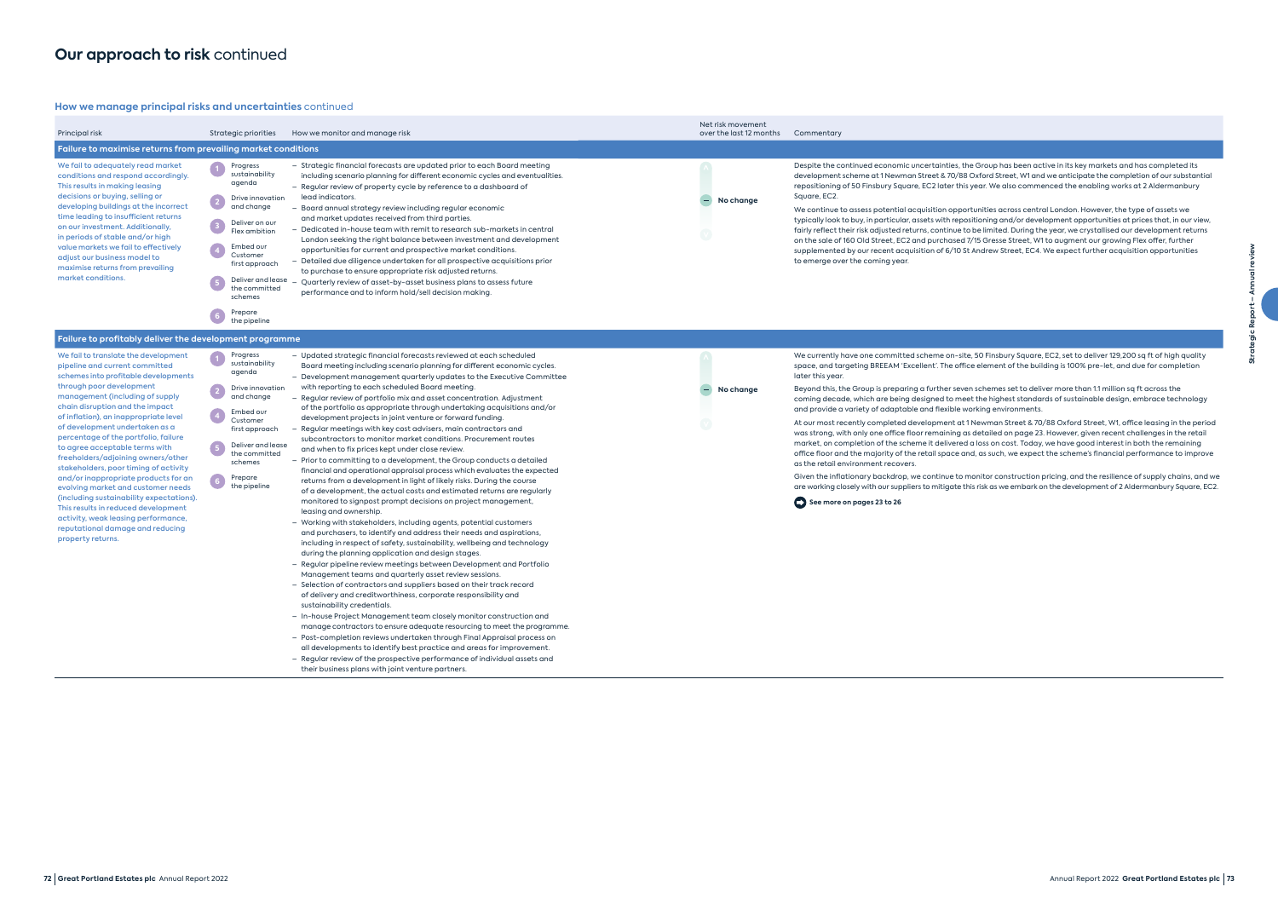### **How we manage principal risks and uncertainties** continued

te, 50 Finsbury Square, EC2, set to deliver 129,200 sq ft of high quality ice element of the building is 100% pre-let, and due for completion

en schemes set to deliver more than 1.1 million sq ft across the eet the highest standards of sustainable design, embrace technology working environments.

1 Newman Street & 70/88 Oxford Street, W1, office leasing in the period as detailed on page 23. However, given recent challenges in the retail d a loss on cost. Today, we have good interest in both the remaining and, as such, we expect the scheme's financial performance to improve

monitor construction pricing, and the resilience of supply chains, and we this risk as we embark on the development of 2 Aldermanbury Square, EC2.

| Principal risk                                                                                                                                                                                                                                                                                                                                                                                                                                                                                                                                                                                                                                                                                                        | Strategic priorities                                                                                                                                                                                                             | How we monitor and manage risk                                                                                                                                                                                                                                                                                                                                                                                                                                                                                                                                                                                                                                                                                                                                                                                                                                                                                                                                                                                                                                                                                                                                                                                                                                                                                                                                                                                                                                                                                                                                                                                                                                                                                                                                                                                                                                                                                                                                                                                                                                     | Net risk movement<br>over the last 12 months | Commentary                                                                                                                                                                                                                                                                                                                                                                                                                                                                                                                                                                                                                                                                                   |
|-----------------------------------------------------------------------------------------------------------------------------------------------------------------------------------------------------------------------------------------------------------------------------------------------------------------------------------------------------------------------------------------------------------------------------------------------------------------------------------------------------------------------------------------------------------------------------------------------------------------------------------------------------------------------------------------------------------------------|----------------------------------------------------------------------------------------------------------------------------------------------------------------------------------------------------------------------------------|--------------------------------------------------------------------------------------------------------------------------------------------------------------------------------------------------------------------------------------------------------------------------------------------------------------------------------------------------------------------------------------------------------------------------------------------------------------------------------------------------------------------------------------------------------------------------------------------------------------------------------------------------------------------------------------------------------------------------------------------------------------------------------------------------------------------------------------------------------------------------------------------------------------------------------------------------------------------------------------------------------------------------------------------------------------------------------------------------------------------------------------------------------------------------------------------------------------------------------------------------------------------------------------------------------------------------------------------------------------------------------------------------------------------------------------------------------------------------------------------------------------------------------------------------------------------------------------------------------------------------------------------------------------------------------------------------------------------------------------------------------------------------------------------------------------------------------------------------------------------------------------------------------------------------------------------------------------------------------------------------------------------------------------------------------------------|----------------------------------------------|----------------------------------------------------------------------------------------------------------------------------------------------------------------------------------------------------------------------------------------------------------------------------------------------------------------------------------------------------------------------------------------------------------------------------------------------------------------------------------------------------------------------------------------------------------------------------------------------------------------------------------------------------------------------------------------------|
| Failure to maximise returns from prevailing market conditions                                                                                                                                                                                                                                                                                                                                                                                                                                                                                                                                                                                                                                                         |                                                                                                                                                                                                                                  |                                                                                                                                                                                                                                                                                                                                                                                                                                                                                                                                                                                                                                                                                                                                                                                                                                                                                                                                                                                                                                                                                                                                                                                                                                                                                                                                                                                                                                                                                                                                                                                                                                                                                                                                                                                                                                                                                                                                                                                                                                                                    |                                              |                                                                                                                                                                                                                                                                                                                                                                                                                                                                                                                                                                                                                                                                                              |
| We fail to adequately read market<br>conditions and respond accordingly.<br>This results in making leasing<br>decisions or buying, selling or<br>developing buildings at the incorrect<br>time leading to insufficient returns<br>on our investment. Additionally,<br>in periods of stable and/or high<br>value markets we fail to effectively<br>adjust our business model to<br>maximise returns from prevailing<br>market conditions.                                                                                                                                                                                                                                                                              | Progress<br>sustainability<br>agenda<br>Drive innovation<br>and change<br>Deliver on our<br>Flex ambition<br>Embed our<br>Customer<br>first approach<br>Deliver and lease<br>the committed<br>schemes<br>Prepare<br>the pipeline | - Strategic financial forecasts are updated prior to each Board meeting<br>including scenario planning for different economic cycles and eventualities.<br>- Regular review of property cycle by reference to a dashboard of<br>lead indicators.<br>– Board annual strategy review including regular economic<br>and market updates received from third parties.<br>- Dedicated in-house team with remit to research sub-markets in central<br>London seeking the right balance between investment and development<br>opportunities for current and prospective market conditions.<br>- Detailed due diligence undertaken for all prospective acquisitions prior<br>to purchase to ensure appropriate risk adjusted returns.<br>Quarterly review of asset-by-asset business plans to assess future<br>performance and to inform hold/sell decision making.                                                                                                                                                                                                                                                                                                                                                                                                                                                                                                                                                                                                                                                                                                                                                                                                                                                                                                                                                                                                                                                                                                                                                                                                         | No change                                    | Despite the continued economic uncertainties, th<br>development scheme at 1 Newman Street & 70/88<br>repositioning of 50 Finsbury Square, EC2 later this<br>Square, EC2.<br>We continue to assess potential acquisition oppo<br>typically look to buy, in particular, assets with repo<br>fairly reflect their risk adjusted returns, continue to<br>on the sale of 160 Old Street, EC2 and purchased<br>supplemented by our recent acquisition of 6/10 St<br>to emerge over the coming year.                                                                                                                                                                                                |
| Failure to profitably deliver the development programme                                                                                                                                                                                                                                                                                                                                                                                                                                                                                                                                                                                                                                                               |                                                                                                                                                                                                                                  |                                                                                                                                                                                                                                                                                                                                                                                                                                                                                                                                                                                                                                                                                                                                                                                                                                                                                                                                                                                                                                                                                                                                                                                                                                                                                                                                                                                                                                                                                                                                                                                                                                                                                                                                                                                                                                                                                                                                                                                                                                                                    |                                              |                                                                                                                                                                                                                                                                                                                                                                                                                                                                                                                                                                                                                                                                                              |
| We fail to translate the development<br>pipeline and current committed<br>schemes into profitable developments<br>through poor development<br>management (including of supply<br>chain disruption and the impact<br>of inflation), an inappropriate level<br>of development undertaken as a<br>percentage of the portfolio, failure<br>to agree acceptable terms with<br>freeholders/adjoining owners/other<br>stakeholders, poor timing of activity<br>and/or inappropriate products for an<br>evolving market and customer needs<br>(including sustainability expectations).<br>This results in reduced development<br>activity, weak leasing performance,<br>reputational damage and reducing<br>property returns. | Progress<br>sustainability<br>agenda<br>Drive innovation<br>$\boxed{2}$<br>and change<br>Embed our<br>Customer<br>first approach<br>Deliver and lease<br>the committed<br>schemes<br>Prepare<br>the pipeline                     | - Updated strategic financial forecasts reviewed at each scheduled<br>Board meeting including scenario planning for different economic cycles.<br>- Development management quarterly updates to the Executive Committee<br>with reporting to each scheduled Board meeting.<br>- Regular review of portfolio mix and asset concentration. Adjustment<br>of the portfolio as appropriate through undertaking acquisitions and/or<br>development projects in joint venture or forward funding.<br>Regular meetings with key cost advisers, main contractors and<br>subcontractors to monitor market conditions. Procurement routes<br>and when to fix prices kept under close review.<br>- Prior to committing to a development, the Group conducts a detailed<br>financial and operational appraisal process which evaluates the expected<br>returns from a development in light of likely risks. During the course<br>of a development, the actual costs and estimated returns are regularly<br>monitored to signpost prompt decisions on project management,<br>leasing and ownership.<br>- Working with stakeholders, including agents, potential customers<br>and purchasers, to identify and address their needs and aspirations,<br>including in respect of safety, sustainability, wellbeing and technology<br>during the planning application and design stages.<br>- Regular pipeline review meetings between Development and Portfolio<br>Management teams and quarterly asset review sessions.<br>- Selection of contractors and suppliers based on their track record<br>of delivery and creditworthiness, corporate responsibility and<br>sustainability credentials.<br>- In-house Project Management team closely monitor construction and<br>manage contractors to ensure adequate resourcing to meet the programme.<br>- Post-completion reviews undertaken through Final Appraisal process on<br>all developments to identify best practice and areas for improvement.<br>- Regular review of the prospective performance of individual assets and | No change                                    | We currently have one committed scheme on-sit<br>space, and targeting BREEAM 'Excellent'. The offic<br>later this year.<br>Beyond this, the Group is preparing a further seve<br>coming decade, which are being designed to mee<br>and provide a variety of adaptable and flexible w<br>At our most recently completed development at '<br>was strong, with only one office floor remaining a<br>market, on completion of the scheme it delivered<br>office floor and the majority of the retail space ar<br>as the retail environment recovers.<br>Given the inflationary backdrop, we continue to r<br>are working closely with our suppliers to mitigate th<br>See more on pages 23 to 26 |

their business plans with joint venture partners.

he Group has been active in its key markets and has completed its  $\overline{\phantom{a}}$ 8 Oxford Street, W1 and we anticipate the completion of our substantial s year. We also commenced the enabling works at 2 Aldermanbury

ortunities across central London. However, the type of assets we ositioning and/or development opportunities at prices that, in our view, to be limited. During the year, we crystallised our development returns 17/15 Gresse Street, W1 to augment our growing Flex offer, further it Andrew Street, EC4. We expect further acquisition opportunities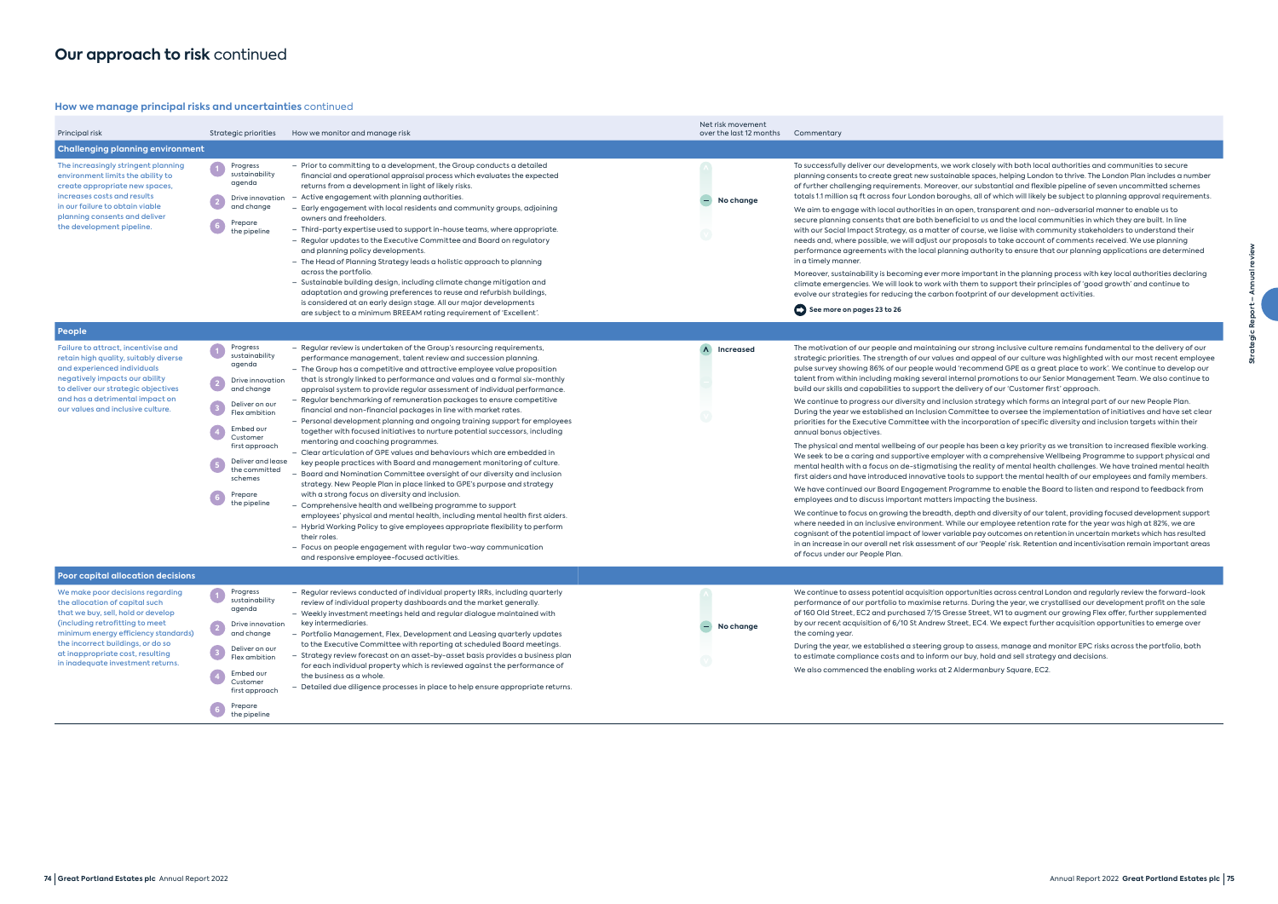### **How we manage principal risks and uncertainties** continued

| Principal risk                                                                                                                                                                                                                                                                                    | Strategic priorities                                                                                                                                                                                                             | How we monitor and manage risk                                                                                                                                                                                                                                                                                                                                                                                                                                                                                                                                                                                                                                                                                                                                                                                                                                                                                                                                                                                                                                                                                                                                                                                                                                                                                                                                                                                                                               | Net risk movement<br>over the last 12 months | Commentary                                                                                                                                                                                                                                                                                                                                                                                                                                                                                                                                                                                                                                                                                                                                                                                                                                                                                                                                                                                     |
|---------------------------------------------------------------------------------------------------------------------------------------------------------------------------------------------------------------------------------------------------------------------------------------------------|----------------------------------------------------------------------------------------------------------------------------------------------------------------------------------------------------------------------------------|--------------------------------------------------------------------------------------------------------------------------------------------------------------------------------------------------------------------------------------------------------------------------------------------------------------------------------------------------------------------------------------------------------------------------------------------------------------------------------------------------------------------------------------------------------------------------------------------------------------------------------------------------------------------------------------------------------------------------------------------------------------------------------------------------------------------------------------------------------------------------------------------------------------------------------------------------------------------------------------------------------------------------------------------------------------------------------------------------------------------------------------------------------------------------------------------------------------------------------------------------------------------------------------------------------------------------------------------------------------------------------------------------------------------------------------------------------------|----------------------------------------------|------------------------------------------------------------------------------------------------------------------------------------------------------------------------------------------------------------------------------------------------------------------------------------------------------------------------------------------------------------------------------------------------------------------------------------------------------------------------------------------------------------------------------------------------------------------------------------------------------------------------------------------------------------------------------------------------------------------------------------------------------------------------------------------------------------------------------------------------------------------------------------------------------------------------------------------------------------------------------------------------|
| <b>Challenging planning environment</b>                                                                                                                                                                                                                                                           |                                                                                                                                                                                                                                  |                                                                                                                                                                                                                                                                                                                                                                                                                                                                                                                                                                                                                                                                                                                                                                                                                                                                                                                                                                                                                                                                                                                                                                                                                                                                                                                                                                                                                                                              |                                              |                                                                                                                                                                                                                                                                                                                                                                                                                                                                                                                                                                                                                                                                                                                                                                                                                                                                                                                                                                                                |
| The increasingly stringent planning<br>environment limits the ability to<br>create appropriate new spaces,<br>increases costs and results<br>in our failure to obtain viable<br>planning consents and deliver<br>the development pipeline.                                                        | Progress<br>sustainability<br>agenda<br>Drive innovation<br>and change<br>Prepare<br>the pipeline                                                                                                                                | - Prior to committing to a development, the Group conducts a detailed<br>financial and operational appraisal process which evaluates the expected<br>returns from a development in light of likely risks.<br>Active engagement with planning authorities.<br>- Early engagement with local residents and community groups, adjoining<br>owners and freeholders.<br>- Third-party expertise used to support in-house teams, where appropriate.<br>- Regular updates to the Executive Committee and Board on regulatory<br>and planning policy developments.<br>- The Head of Planning Strategy leads a holistic approach to planning<br>across the portfolio.<br>- Sustainable building design, including climate change mitigation and<br>adaptation and growing preferences to reuse and refurbish buildings,<br>is considered at an early design stage. All our major developments<br>are subject to a minimum BREEAM rating requirement of 'Excellent'.                                                                                                                                                                                                                                                                                                                                                                                                                                                                                                   | No change                                    | To successfully deliver our developments, we w<br>planning consents to create great new sustains<br>of further challenging requirements. Moreover<br>totals 1.1 million sq ft across four London borou<br>We aim to engage with local authorities in an<br>secure planning consents that are both benefi<br>with our Social Impact Strategy, as a matter of<br>needs and, where possible, we will adjust our p<br>performance agreements with the local plann<br>in a timely manner.<br>Moreover, sustainability is becoming ever more<br>climate emergencies. We will look to work with<br>evolve our strategies for reducing the carbon f<br>See more on pages 23 to 26                                                                                                                                                                                                                                                                                                                      |
| People                                                                                                                                                                                                                                                                                            |                                                                                                                                                                                                                                  |                                                                                                                                                                                                                                                                                                                                                                                                                                                                                                                                                                                                                                                                                                                                                                                                                                                                                                                                                                                                                                                                                                                                                                                                                                                                                                                                                                                                                                                              |                                              |                                                                                                                                                                                                                                                                                                                                                                                                                                                                                                                                                                                                                                                                                                                                                                                                                                                                                                                                                                                                |
| Failure to attract, incentivise and<br>retain high quality, suitably diverse<br>and experienced individuals<br>negatively impacts our ability<br>to deliver our strategic objectives<br>and has a detrimental impact on<br>our values and inclusive culture.                                      | Progress<br>sustainability<br>agenda<br>Drive innovation<br>and change<br>Deliver on our<br>Flex ambition<br>Embed our<br>Customer<br>first approach<br>Deliver and lease<br>the committed<br>schemes<br>Prepare<br>the pipeline | - Regular review is undertaken of the Group's resourcing requirements,<br>performance management, talent review and succession planning.<br>- The Group has a competitive and attractive employee value proposition<br>that is strongly linked to performance and values and a formal six-monthly<br>appraisal system to provide regular assessment of individual performance.<br>- Regular benchmarking of remuneration packages to ensure competitive<br>financial and non-financial packages in line with market rates.<br>- Personal development planning and ongoing training support for employees<br>together with focused initiatives to nurture potential successors, including<br>mentoring and coaching programmes.<br>- Clear articulation of GPE values and behaviours which are embedded in<br>key people practices with Board and management monitoring of culture.<br>- Board and Nomination Committee oversight of our diversity and inclusion<br>strategy. New People Plan in place linked to GPE's purpose and strategy<br>with a strong focus on diversity and inclusion.<br>- Comprehensive health and wellbeing programme to support<br>employees' physical and mental health, including mental health first aiders.<br>- Hybrid Working Policy to give employees appropriate flexibility to perform<br>their roles.<br>- Focus on people engagement with regular two-way communication<br>and responsive employee-focused activities. | Increased                                    | The motivation of our people and maintaining<br>strategic priorities. The strength of our values<br>pulse survey showing 86% of our people would<br>talent from within including making several int<br>build our skills and capabilities to support the<br>We continue to progress our diversity and inclu<br>During the year we established an Inclusion Co<br>priorities for the Executive Committee with the<br>annual bonus objectives.<br>The physical and mental wellbeing of our peop<br>We seek to be a caring and supportive employ<br>mental health with a focus on de-stigmatising<br>first aiders and have introduced innovative too<br>We have continued our Board Engagement Pro<br>employees and to discuss important matters in<br>We continue to focus on growing the breadth, a<br>where needed in an inclusive environment. Wh<br>cognisant of the potential impact of lower varies<br>in an increase in our overall net risk assessment<br>of focus under our People Plan. |
| <b>Poor capital allocation decisions</b>                                                                                                                                                                                                                                                          |                                                                                                                                                                                                                                  |                                                                                                                                                                                                                                                                                                                                                                                                                                                                                                                                                                                                                                                                                                                                                                                                                                                                                                                                                                                                                                                                                                                                                                                                                                                                                                                                                                                                                                                              |                                              |                                                                                                                                                                                                                                                                                                                                                                                                                                                                                                                                                                                                                                                                                                                                                                                                                                                                                                                                                                                                |
| We make poor decisions regarding<br>the allocation of capital such<br>that we buy, sell, hold or develop<br>(including retrofitting to meet<br>minimum energy efficiency standards)<br>the incorrect buildings, or do so<br>at inappropriate cost, resulting<br>in inadequate investment returns. | Progress<br>sustainability<br>agenda<br>Drive innovation<br>and change<br>Deliver on our<br>Flex ambition<br>Embed our<br>Customer<br>first approach<br>Prepare<br>the pipeline                                                  | Regular reviews conducted of individual property IRRs, including quarterly<br>review of individual property dashboards and the market generally.<br>- Weekly investment meetings held and regular dialogue maintained with<br>key intermediaries.<br>- Portfolio Management, Flex, Development and Leasing quarterly updates<br>to the Executive Committee with reporting at scheduled Board meetings.<br>- Strategy review forecast on an asset-by-asset basis provides a business plan<br>for each individual property which is reviewed against the performance of<br>the business as a whole.<br>- Detailed due diligence processes in place to help ensure appropriate returns.                                                                                                                                                                                                                                                                                                                                                                                                                                                                                                                                                                                                                                                                                                                                                                         | No change                                    | We continue to assess potential acquisition opp<br>performance of our portfolio to maximise retu<br>of 160 Old Street, EC2 and purchased 7/15 Gres<br>by our recent acquisition of 6/10 St Andrew Str<br>the coming year.<br>During the year, we established a steering grou<br>to estimate compliance costs and to inform or<br>We also commenced the enabling works at 2 A                                                                                                                                                                                                                                                                                                                                                                                                                                                                                                                                                                                                                   |

vork closely with both local authorities and communities to secure able spaces, helping London to thrive. The London Plan includes a number r, our substantial and flexible pipeline of seven uncommitted schemes ughs, all of which will likely be subject to planning approval requirements.

open, transparent and non-adversarial manner to enable us to icial to us and the local communities in which they are built. In line f course, we liaise with community stakeholders to understand their roposals to take account of comments received. We use planning iing authority to ensure that our planning applications are determined

e important in the planning process with key local authorities declaring i them to support their principles of 'good growth' and continue to footprint of our development activities.

#### **I** our strong inclusive culture remains fundamental to the delivery of our and appeal of our culture was highlighted with our most recent employee 'recommend GPE as a great place to work'. We continue to develop our ternal promotions to our Senior Management Team. We also continue to delivery of our 'Customer first' approach.

usion strategy which forms an integral part of our new People Plan.  $p$ mmittee to oversee the implementation of initiatives and have set clear e incorporation of specific diversity and inclusion targets within their

ble has been a key priority as we transition to increased flexible working. ver with a comprehensive Wellbeing Programme to support physical and , the reality of mental health challenges. We have trained mental health .<br>ols to support the mental health of our employees and family members.

ogramme to enable the Board to listen and respond to feedback from mpacting the business.

depth and diversity of our talent, providing focused development support ille our employee retention rate for the year was high at 82%, we are able pay outcomes on retention in uncertain markets which has resulted of our 'People' risk. Retention and incentivisation remain important areas

portunities across central London and regularly review the forward-look rns. During the year, we crystallised our development profit on the sale sse Street, W1 to augment our growing Flex offer, further supplemented reet, EC4. We expect further acquisition opportunities to emerge over

up to assess, manage and monitor EPC risks across the portfolio, both ur buy, hold and sell strategy and decisions. Me also comment the enable the enable the enable the enable the enable the enable the enable the Scala<br>Margine Scale in the enable of the enable square, EC2.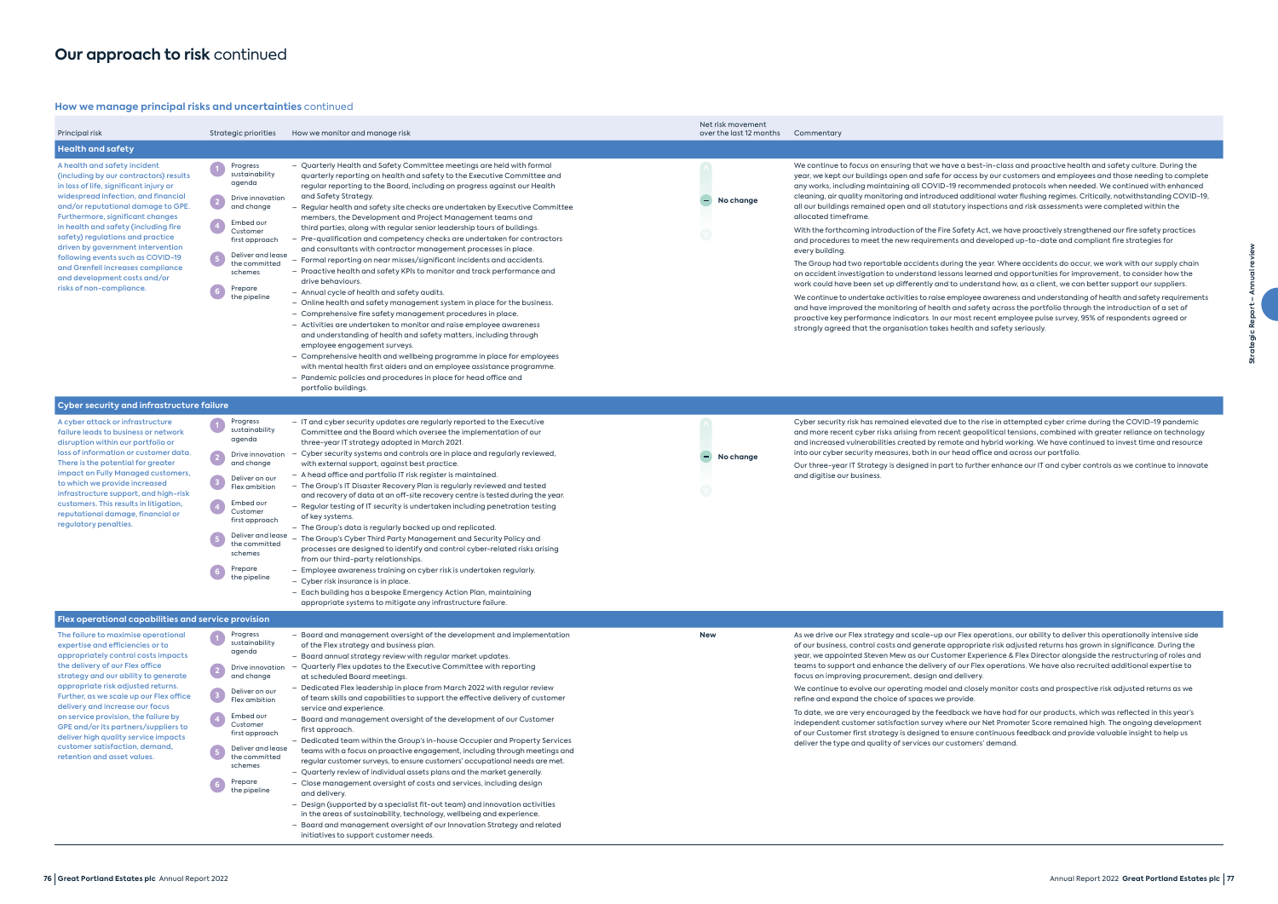### **How we manage principal risks and uncertainties** continued

| Principal risk                                                                                                                                                                                                                                                                                                                                                                                                                                                                                         | Strategic priorities                                                                                                                                                                                                                                                                        | How we monitor and manage risk                                                                                                                                                                                                                                                                                                                                                                                                                                                                                                                                                                                                                                                                                                                                                                                                                                                                                                                                                                                                                                                                                                                                                                                                                                                                                                                                                                                      | Net risk movement<br>over the last 12 months | Commentary                                                                                                                                                                                                                                                                                                                                                                                                                                                                                                                                                                                                                                                                                                                                                                                                                         |
|--------------------------------------------------------------------------------------------------------------------------------------------------------------------------------------------------------------------------------------------------------------------------------------------------------------------------------------------------------------------------------------------------------------------------------------------------------------------------------------------------------|---------------------------------------------------------------------------------------------------------------------------------------------------------------------------------------------------------------------------------------------------------------------------------------------|---------------------------------------------------------------------------------------------------------------------------------------------------------------------------------------------------------------------------------------------------------------------------------------------------------------------------------------------------------------------------------------------------------------------------------------------------------------------------------------------------------------------------------------------------------------------------------------------------------------------------------------------------------------------------------------------------------------------------------------------------------------------------------------------------------------------------------------------------------------------------------------------------------------------------------------------------------------------------------------------------------------------------------------------------------------------------------------------------------------------------------------------------------------------------------------------------------------------------------------------------------------------------------------------------------------------------------------------------------------------------------------------------------------------|----------------------------------------------|------------------------------------------------------------------------------------------------------------------------------------------------------------------------------------------------------------------------------------------------------------------------------------------------------------------------------------------------------------------------------------------------------------------------------------------------------------------------------------------------------------------------------------------------------------------------------------------------------------------------------------------------------------------------------------------------------------------------------------------------------------------------------------------------------------------------------------|
| <b>Health and safety</b>                                                                                                                                                                                                                                                                                                                                                                                                                                                                               |                                                                                                                                                                                                                                                                                             |                                                                                                                                                                                                                                                                                                                                                                                                                                                                                                                                                                                                                                                                                                                                                                                                                                                                                                                                                                                                                                                                                                                                                                                                                                                                                                                                                                                                                     |                                              |                                                                                                                                                                                                                                                                                                                                                                                                                                                                                                                                                                                                                                                                                                                                                                                                                                    |
| A health and safety incident<br>(including by our contractors) results<br>in loss of life, significant injury or<br>widespread infection, and financial<br>and/or reputational damage to GPE.<br>Furthermore, significant changes<br>in health and safety (including fire<br>safety) regulations and practice<br>driven by government intervention<br>following events such as COVID-19<br>and Grenfell increases compliance<br>and development costs and/or<br>risks of non-compliance.               | Progress<br>sustainability<br>agenda<br>Drive innovation<br>$\left( 2\right)$<br>and change<br>Embed our<br>Customer<br>first approach<br>Deliver and lease<br>5 <sub>5</sub><br>the committed<br>schemes<br>Prepare<br>the pipeline                                                        | - Quarterly Health and Safety Committee meetings are held with formal<br>quarterly reporting on health and safety to the Executive Committee and<br>regular reporting to the Board, including on progress against our Health<br>and Safety Strategy.<br>Regular health and safety site checks are undertaken by Executive Committee<br>members, the Development and Project Management teams and<br>third parties, along with regular senior leadership tours of buildings.<br>Pre-qualification and competency checks are undertaken for contractors<br>and consultants with contractor management processes in place.<br>- Formal reporting on near misses/significant incidents and accidents.<br>- Proactive health and safety KPIs to monitor and track performance and<br>drive behaviours.<br>- Annual cycle of health and safety audits.<br>- Online health and safety management system in place for the business.<br>- Comprehensive fire safety management procedures in place.<br>- Activities are undertaken to monitor and raise employee awareness<br>and understanding of health and safety matters, including through<br>employee engagement surveys.<br>- Comprehensive health and wellbeing programme in place for employees<br>with mental health first aiders and an employee assistance programme.<br>- Pandemic policies and procedures in place for head office and<br>portfolio buildings. | No change                                    | We continue to focus on ensuring that we have a be<br>year, we kept our buildings open and safe for acces<br>any works, including maintaining all COVID-19 reco<br>cleaning, air quality monitoring and introduced add<br>all our buildings remained open and all statutory in:<br>allocated timeframe.<br>With the forthcoming introduction of the Fire Safety<br>and procedures to meet the new requirements and<br>every building.<br>The Group had two reportable accidents during the<br>on accident investigation to understand lessons lec<br>work could have been set up differently and to unde<br>We continue to undertake activities to raise employe<br>and have improved the monitoring of health and sc<br>proactive key performance indicators. In our most r<br>strongly agreed that the organisation takes health |
| <b>Cyber security and infrastructure failure</b>                                                                                                                                                                                                                                                                                                                                                                                                                                                       |                                                                                                                                                                                                                                                                                             |                                                                                                                                                                                                                                                                                                                                                                                                                                                                                                                                                                                                                                                                                                                                                                                                                                                                                                                                                                                                                                                                                                                                                                                                                                                                                                                                                                                                                     |                                              |                                                                                                                                                                                                                                                                                                                                                                                                                                                                                                                                                                                                                                                                                                                                                                                                                                    |
| A cyber attack or infrastructure<br>failure leads to business or network<br>disruption within our portfolio or<br>loss of information or customer data.<br>There is the potential for greater<br>impact on Fully Managed customers,<br>to which we provide increased<br>infrastructure support, and high-risk<br>customers. This results in litigation,<br>reputational damage, financial or<br>regulatory penalties.                                                                                  | Progress<br>sustainability<br>agenda<br>Drive innovation<br>$\left( \frac{2}{2} \right)$<br>and change<br>$\overline{\mathbf{3}}$<br>Deliver on our<br>Flex ambition<br>Embed our<br>Customer<br>first approach<br>Deliver and lease<br>the committed<br>schemes<br>Prepare<br>the pipeline | - IT and cyber security updates are regularly reported to the Executive<br>Committee and the Board which oversee the implementation of our<br>three-year IT strategy adopted in March 2021.<br>Cyber security systems and controls are in place and regularly reviewed,<br>with external support, against best practice.<br>- A head office and portfolio IT risk register is maintained.<br>- The Group's IT Disaster Recovery Plan is regularly reviewed and tested<br>and recovery of data at an off-site recovery centre is tested during the year.<br>- Regular testing of IT security is undertaken including penetration testing<br>of key systems.<br>- The Group's data is regularly backed up and replicated.<br>- The Group's Cyber Third Party Management and Security Policy and<br>processes are designed to identify and control cyber-related risks arising<br>from our third-party relationships.<br>- Employee awareness training on cyber risk is undertaken regularly.<br>- Cyber risk insurance is in place.<br>- Each building has a bespoke Emergency Action Plan, maintaining<br>appropriate systems to mitigate any infrastructure failure.                                                                                                                                                                                                                                                | No change                                    | Cyber security risk has remained elevated due to th<br>and more recent cyber risks arising from recent geo<br>and increased vulnerabilities created by remote an<br>into our cyber security measures, both in our head of<br>Our three-year IT Strategy is designed in part to fur<br>and digitise our business.                                                                                                                                                                                                                                                                                                                                                                                                                                                                                                                   |
| Flex operational capabilities and service provision                                                                                                                                                                                                                                                                                                                                                                                                                                                    |                                                                                                                                                                                                                                                                                             |                                                                                                                                                                                                                                                                                                                                                                                                                                                                                                                                                                                                                                                                                                                                                                                                                                                                                                                                                                                                                                                                                                                                                                                                                                                                                                                                                                                                                     |                                              |                                                                                                                                                                                                                                                                                                                                                                                                                                                                                                                                                                                                                                                                                                                                                                                                                                    |
| The failure to maximise operational<br>expertise and efficiencies or to<br>appropriately control costs impacts<br>the delivery of our Flex office<br>strategy and our ability to generate<br>appropriate risk adjusted returns.<br>Further, as we scale up our Flex office<br>delivery and increase our focus<br>on service provision, the failure by<br>GPE and/or its partners/suppliers to<br>deliver high quality service impacts<br>customer satisfaction, demand,<br>retention and asset values. | Progress<br>sustainability<br>agenda<br>Drive innovation<br>and change<br>Deliver on our<br>$\left(3\right)$<br>Flex ambition<br>Embed our<br>Customer<br>first approach<br>Deliver and lease<br>the committed<br>schemes<br>Prepare<br>the pipeline                                        | - Board and management oversight of the development and implementation<br>of the Flex strategy and business plan.<br>- Board annual strategy review with regular market updates.<br>Quarterly Flex updates to the Executive Committee with reporting<br>at scheduled Board meetings.<br>- Dedicated Flex leadership in place from March 2022 with regular review<br>of team skills and capabilities to support the effective delivery of customer<br>service and experience.<br>- Board and management oversight of the development of our Customer<br>first approach.<br>- Dedicated team within the Group's in-house Occupier and Property Services<br>teams with a focus on proactive engagement, including through meetings and<br>regular customer surveys, to ensure customers' occupational needs are met.<br>- Quarterly review of individual assets plans and the market generally.<br>- Close management oversight of costs and services, including design<br>and delivery.<br>- Design (supported by a specialist fit-out team) and innovation activities<br>in the areas of sustainability, technology, wellbeing and experience.<br>- Board and management oversight of our Innovation Strategy and related                                                                                                                                                                                            | <b>New</b>                                   | As we drive our Flex strategy and scale-up our Flex<br>of our business, control costs and generate approp<br>year, we appointed Steven Mew as our Customer Ex<br>teams to support and enhance the delivery of our F<br>focus on improving procurement, design and delive<br>We continue to evolve our operating model and clo<br>refine and expand the choice of spaces we provide.<br>To date, we are very encouraged by the feedback v<br>independent customer satisfaction survey where or<br>of our Customer first strategy is designed to ensure<br>deliver the type and quality of services our custome                                                                                                                                                                                                                      |

**Strategic Report – Annual review**

 $rac{c}{\pi}$ ÷ £

the rise in attempted cyber crime during the COVID-19 pandemic geopolitical tensions, combined with greater reliance on technology and hybrid working. We have continued to invest time and resource id office and across our portfolio.

further enhance our IT and cyber controls as we continue to innovate

ex operations, our ability to deliver this operationally intensive side opriate risk adjusted returns has grown in significance. During the r Experience & Flex Director alongside the restructuring of roles and r Flex operations. We have also recruited additional expertise to livery.

closely monitor costs and prospective risk adjusted returns as we

tk we have had for our products, which was reflected in this year's e our Net Promoter Score remained high. The ongoing development of our continuous feedback and provide valuable insight to help us mers' demand.

West-in-class and proactive health and safety culture. During the cess by our customers and employees and those needing to complete commended protocols when needed. We continued with enhanced dditional water flushing regimes. Critically, notwithstanding COVID-19, inspections and risk assessments were completed within the

ety Act, we have proactively strengthened our fire safety practices ind developed up-to-date and compliant fire strategies for

the year. Where accidents do occur, we work with our supply chain learned and opportunities for improvement, to consider how the nderstand how, as a client, we can better support our suppliers.

oyee awareness and understanding of health and safety requirements d safety across the portfolio through the introduction of a set of ist recent employee pulse survey, 95% of respondents agreed or Ith and safety seriously.